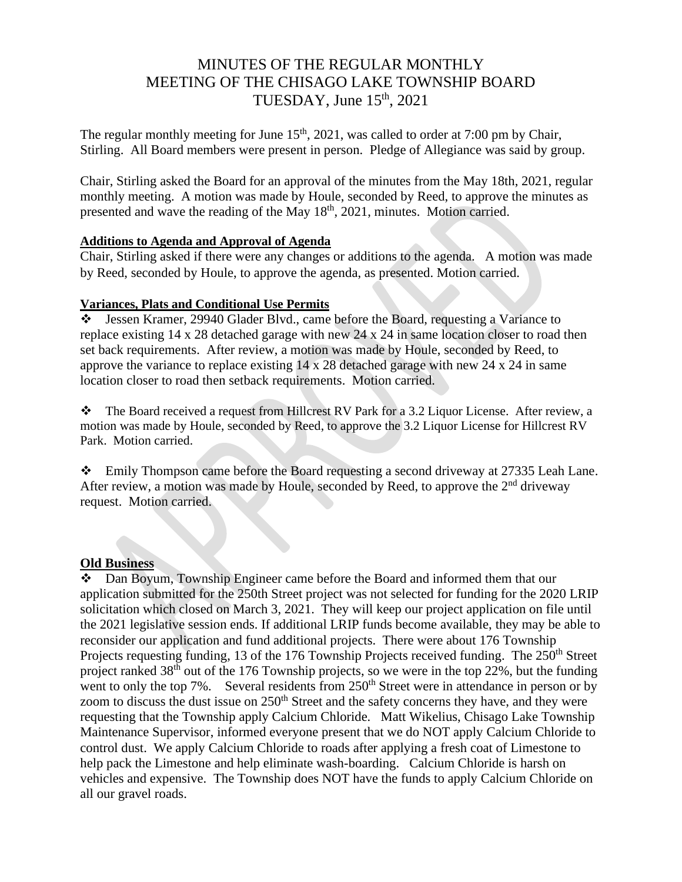# MINUTES OF THE REGULAR MONTHLY MEETING OF THE CHISAGO LAKE TOWNSHIP BOARD TUESDAY, June  $15<sup>th</sup>$ , 2021

The regular monthly meeting for June  $15<sup>th</sup>$ , 2021, was called to order at 7:00 pm by Chair, Stirling. All Board members were present in person. Pledge of Allegiance was said by group.

Chair, Stirling asked the Board for an approval of the minutes from the May 18th, 2021, regular monthly meeting. A motion was made by Houle, seconded by Reed, to approve the minutes as presented and wave the reading of the May 18<sup>th</sup>, 2021, minutes. Motion carried.

#### **Additions to Agenda and Approval of Agenda**

Chair, Stirling asked if there were any changes or additions to the agenda. A motion was made by Reed, seconded by Houle, to approve the agenda, as presented. Motion carried.

## **Variances, Plats and Conditional Use Permits**

❖ Jessen Kramer, 29940 Glader Blvd., came before the Board, requesting a Variance to replace existing 14 x 28 detached garage with new 24 x 24 in same location closer to road then set back requirements. After review, a motion was made by Houle, seconded by Reed, to approve the variance to replace existing 14 x 28 detached garage with new 24 x 24 in same location closer to road then setback requirements. Motion carried.

❖ The Board received a request from Hillcrest RV Park for a 3.2 Liquor License. After review, a motion was made by Houle, seconded by Reed, to approve the 3.2 Liquor License for Hillcrest RV Park. Motion carried.

❖ Emily Thompson came before the Board requesting a second driveway at 27335 Leah Lane. After review, a motion was made by Houle, seconded by Reed, to approve the 2<sup>nd</sup> driveway request. Motion carried.

## **Old Business**

❖ Dan Boyum, Township Engineer came before the Board and informed them that our application submitted for the 250th Street project was not selected for funding for the 2020 LRIP solicitation which closed on March 3, 2021. They will keep our project application on file until the 2021 legislative session ends. If additional LRIP funds become available, they may be able to reconsider our application and fund additional projects. There were about 176 Township Projects requesting funding, 13 of the 176 Township Projects received funding. The 250<sup>th</sup> Street project ranked 38<sup>th</sup> out of the 176 Township projects, so we were in the top 22%, but the funding went to only the top 7%. Several residents from 250<sup>th</sup> Street were in attendance in person or by zoom to discuss the dust issue on  $250<sup>th</sup>$  Street and the safety concerns they have, and they were requesting that the Township apply Calcium Chloride. Matt Wikelius, Chisago Lake Township Maintenance Supervisor, informed everyone present that we do NOT apply Calcium Chloride to control dust. We apply Calcium Chloride to roads after applying a fresh coat of Limestone to help pack the Limestone and help eliminate wash-boarding. Calcium Chloride is harsh on vehicles and expensive. The Township does NOT have the funds to apply Calcium Chloride on all our gravel roads.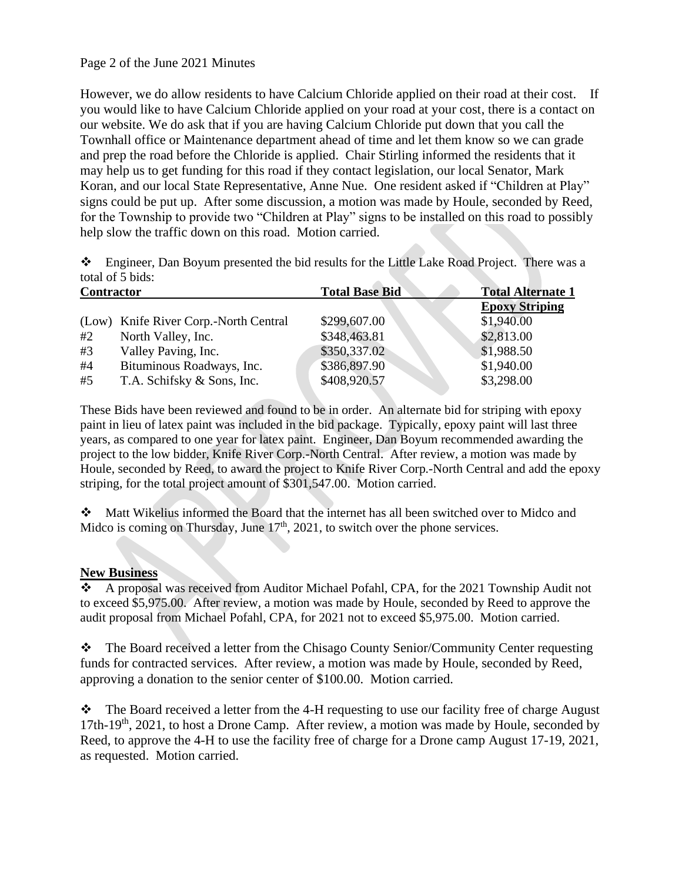#### Page 2 of the June 2021 Minutes

However, we do allow residents to have Calcium Chloride applied on their road at their cost. If you would like to have Calcium Chloride applied on your road at your cost, there is a contact on our website. We do ask that if you are having Calcium Chloride put down that you call the Townhall office or Maintenance department ahead of time and let them know so we can grade and prep the road before the Chloride is applied. Chair Stirling informed the residents that it may help us to get funding for this road if they contact legislation, our local Senator, Mark Koran, and our local State Representative, Anne Nue. One resident asked if "Children at Play" signs could be put up. After some discussion, a motion was made by Houle, seconded by Reed, for the Township to provide two "Children at Play" signs to be installed on this road to possibly help slow the traffic down on this road. Motion carried.

❖ Engineer, Dan Boyum presented the bid results for the Little Lake Road Project. There was a total of 5 bids:

| <b>Contractor</b>                     | <b>Total Base Bid</b> | <b>Total Alternate 1</b> |
|---------------------------------------|-----------------------|--------------------------|
|                                       |                       | <b>Epoxy Striping</b>    |
| (Low) Knife River Corp.-North Central | \$299,607.00          | \$1,940.00               |
| North Valley, Inc.                    | \$348,463.81          | \$2,813.00               |
| Valley Paving, Inc.                   | \$350,337.02          | \$1,988.50               |
| Bituminous Roadways, Inc.             | \$386,897.90          | \$1,940.00               |
| T.A. Schifsky & Sons, Inc.            | \$408,920.57          | \$3,298.00               |
|                                       |                       |                          |

These Bids have been reviewed and found to be in order. An alternate bid for striping with epoxy paint in lieu of latex paint was included in the bid package. Typically, epoxy paint will last three years, as compared to one year for latex paint. Engineer, Dan Boyum recommended awarding the project to the low bidder, Knife River Corp.-North Central. After review, a motion was made by Houle, seconded by Reed, to award the project to Knife River Corp.-North Central and add the epoxy striping, for the total project amount of \$301,547.00. Motion carried.

❖ Matt Wikelius informed the Board that the internet has all been switched over to Midco and Midco is coming on Thursday, June  $17<sup>th</sup>$ , 2021, to switch over the phone services.

#### **New Business**

❖ A proposal was received from Auditor Michael Pofahl, CPA, for the 2021 Township Audit not to exceed \$5,975.00. After review, a motion was made by Houle, seconded by Reed to approve the audit proposal from Michael Pofahl, CPA, for 2021 not to exceed \$5,975.00. Motion carried.

❖ The Board received a letter from the Chisago County Senior/Community Center requesting funds for contracted services. After review, a motion was made by Houle, seconded by Reed, approving a donation to the senior center of \$100.00. Motion carried.

❖ The Board received a letter from the 4-H requesting to use our facility free of charge August 17th-19<sup>th</sup>, 2021, to host a Drone Camp. After review, a motion was made by Houle, seconded by Reed, to approve the 4-H to use the facility free of charge for a Drone camp August 17-19, 2021, as requested. Motion carried.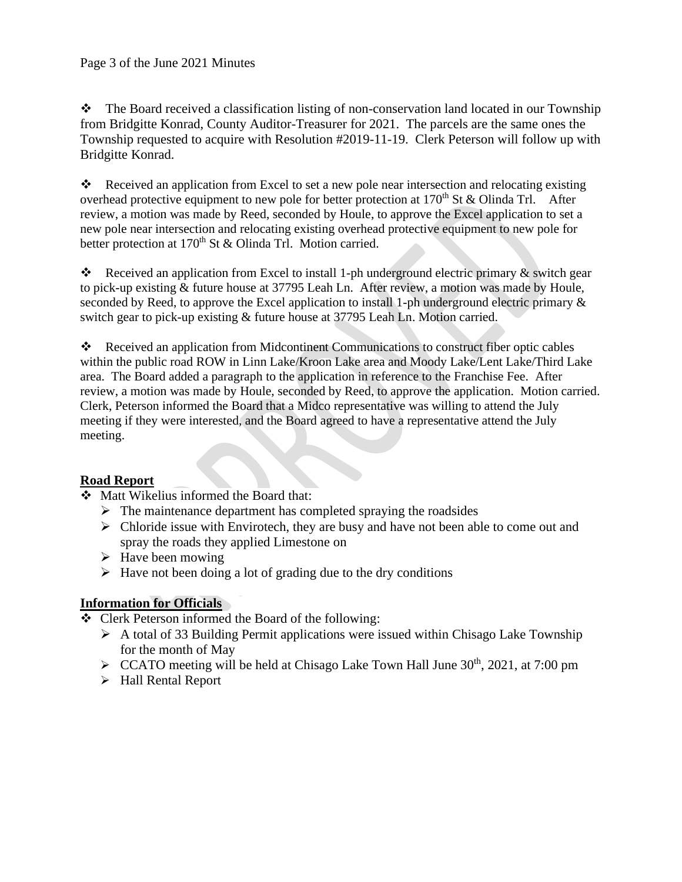❖ The Board received a classification listing of non-conservation land located in our Township from Bridgitte Konrad, County Auditor-Treasurer for 2021. The parcels are the same ones the Township requested to acquire with Resolution #2019-11-19. Clerk Peterson will follow up with Bridgitte Konrad.

❖ Received an application from Excel to set a new pole near intersection and relocating existing overhead protective equipment to new pole for better protection at  $170<sup>th</sup>$  St & Olinda Trl. After review, a motion was made by Reed, seconded by Houle, to approve the Excel application to set a new pole near intersection and relocating existing overhead protective equipment to new pole for better protection at 170<sup>th</sup> St & Olinda Trl. Motion carried.

 $\bullet$  Received an application from Excel to install 1-ph underground electric primary & switch gear to pick-up existing & future house at 37795 Leah Ln. After review, a motion was made by Houle, seconded by Reed, to approve the Excel application to install 1-ph underground electric primary  $\&$ switch gear to pick-up existing & future house at 37795 Leah Ln. Motion carried.

❖ Received an application from Midcontinent Communications to construct fiber optic cables within the public road ROW in Linn Lake/Kroon Lake area and Moody Lake/Lent Lake/Third Lake area. The Board added a paragraph to the application in reference to the Franchise Fee. After review, a motion was made by Houle, seconded by Reed, to approve the application. Motion carried. Clerk, Peterson informed the Board that a Midco representative was willing to attend the July meeting if they were interested, and the Board agreed to have a representative attend the July meeting.

## **Road Report**

- ❖ Matt Wikelius informed the Board that:
	- $\triangleright$  The maintenance department has completed spraying the roadsides
	- $\triangleright$  Chloride issue with Envirotech, they are busy and have not been able to come out and spray the roads they applied Limestone on
	- $\triangleright$  Have been mowing
	- $\triangleright$  Have not been doing a lot of grading due to the dry conditions

## **Information for Officials**

- ❖ Clerk Peterson informed the Board of the following:
	- ➢ A total of 33 Building Permit applications were issued within Chisago Lake Township for the month of May
	- $\triangleright$  CCATO meeting will be held at Chisago Lake Town Hall June 30<sup>th</sup>, 2021, at 7:00 pm
	- ➢ Hall Rental Report